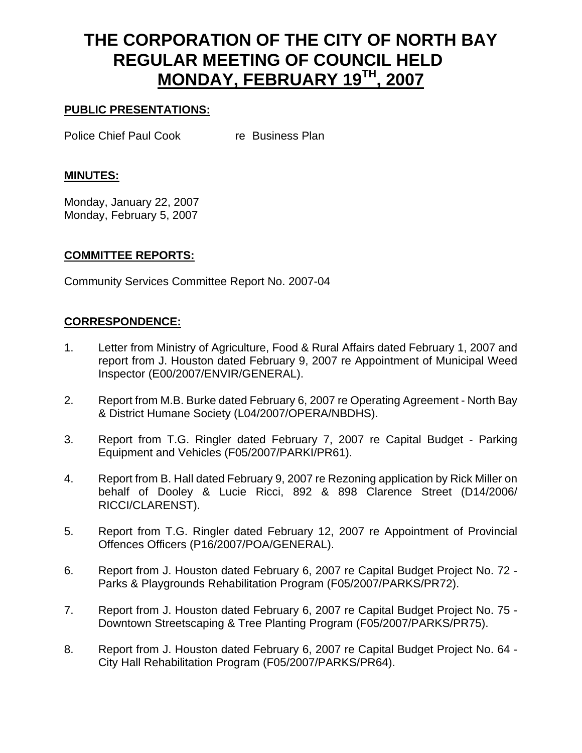# **THE CORPORATION OF THE CITY OF NORTH BAY REGULAR MEETING OF COUNCIL HELD MONDAY, FEBRUARY 19TH, 2007**

# **PUBLIC PRESENTATIONS:**

Police Chief Paul Cook re Business Plan

## **MINUTES:**

Monday, January 22, 2007 Monday, February 5, 2007

## **COMMITTEE REPORTS:**

Community Services Committee Report No. 2007-04

# **CORRESPONDENCE:**

- 1. Letter from Ministry of Agriculture, Food & Rural Affairs dated February 1, 2007 and report from J. Houston dated February 9, 2007 re Appointment of Municipal Weed Inspector (E00/2007/ENVIR/GENERAL).
- 2. Report from M.B. Burke dated February 6, 2007 re Operating Agreement North Bay & District Humane Society (L04/2007/OPERA/NBDHS).
- 3. Report from T.G. Ringler dated February 7, 2007 re Capital Budget Parking Equipment and Vehicles (F05/2007/PARKI/PR61).
- 4. Report from B. Hall dated February 9, 2007 re Rezoning application by Rick Miller on behalf of Dooley & Lucie Ricci, 892 & 898 Clarence Street (D14/2006/ RICCI/CLARENST).
- 5. Report from T.G. Ringler dated February 12, 2007 re Appointment of Provincial Offences Officers (P16/2007/POA/GENERAL).
- 6. Report from J. Houston dated February 6, 2007 re Capital Budget Project No. 72 Parks & Playgrounds Rehabilitation Program (F05/2007/PARKS/PR72).
- 7. Report from J. Houston dated February 6, 2007 re Capital Budget Project No. 75 Downtown Streetscaping & Tree Planting Program (F05/2007/PARKS/PR75).
- 8. Report from J. Houston dated February 6, 2007 re Capital Budget Project No. 64 City Hall Rehabilitation Program (F05/2007/PARKS/PR64).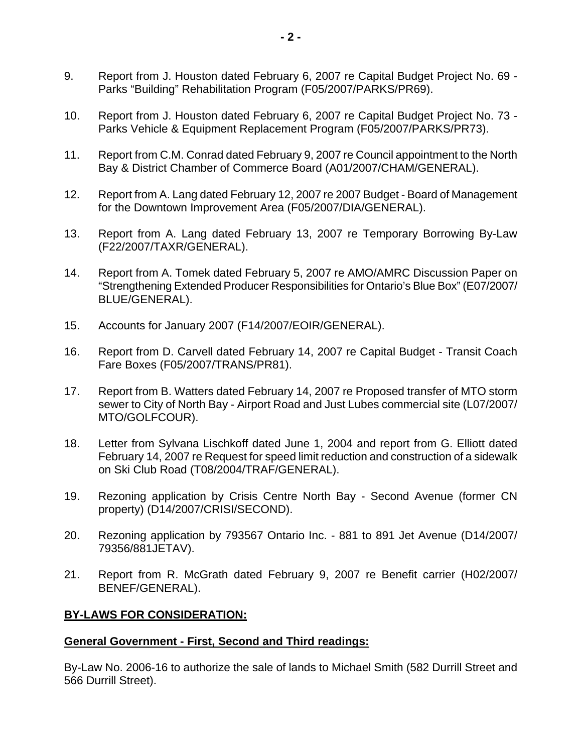- 9. Report from J. Houston dated February 6, 2007 re Capital Budget Project No. 69 Parks "Building" Rehabilitation Program (F05/2007/PARKS/PR69).
- 10. Report from J. Houston dated February 6, 2007 re Capital Budget Project No. 73 Parks Vehicle & Equipment Replacement Program (F05/2007/PARKS/PR73).
- 11. Report from C.M. Conrad dated February 9, 2007 re Council appointment to the North Bay & District Chamber of Commerce Board (A01/2007/CHAM/GENERAL).
- 12. Report from A. Lang dated February 12, 2007 re 2007 Budget Board of Management for the Downtown Improvement Area (F05/2007/DIA/GENERAL).
- 13. Report from A. Lang dated February 13, 2007 re Temporary Borrowing By-Law (F22/2007/TAXR/GENERAL).
- 14. Report from A. Tomek dated February 5, 2007 re AMO/AMRC Discussion Paper on "Strengthening Extended Producer Responsibilities for Ontario's Blue Box" (E07/2007/ BLUE/GENERAL).
- 15. Accounts for January 2007 (F14/2007/EOIR/GENERAL).
- 16. Report from D. Carvell dated February 14, 2007 re Capital Budget Transit Coach Fare Boxes (F05/2007/TRANS/PR81).
- 17. Report from B. Watters dated February 14, 2007 re Proposed transfer of MTO storm sewer to City of North Bay - Airport Road and Just Lubes commercial site (L07/2007/ MTO/GOLFCOUR).
- 18. Letter from Sylvana Lischkoff dated June 1, 2004 and report from G. Elliott dated February 14, 2007 re Request for speed limit reduction and construction of a sidewalk on Ski Club Road (T08/2004/TRAF/GENERAL).
- 19. Rezoning application by Crisis Centre North Bay Second Avenue (former CN property) (D14/2007/CRISI/SECOND).
- 20. Rezoning application by 793567 Ontario Inc. 881 to 891 Jet Avenue (D14/2007/ 79356/881JETAV).
- 21. Report from R. McGrath dated February 9, 2007 re Benefit carrier (H02/2007/ BENEF/GENERAL).

## **BY-LAWS FOR CONSIDERATION:**

## **General Government - First, Second and Third readings:**

By-Law No. 2006-16 to authorize the sale of lands to Michael Smith (582 Durrill Street and 566 Durrill Street).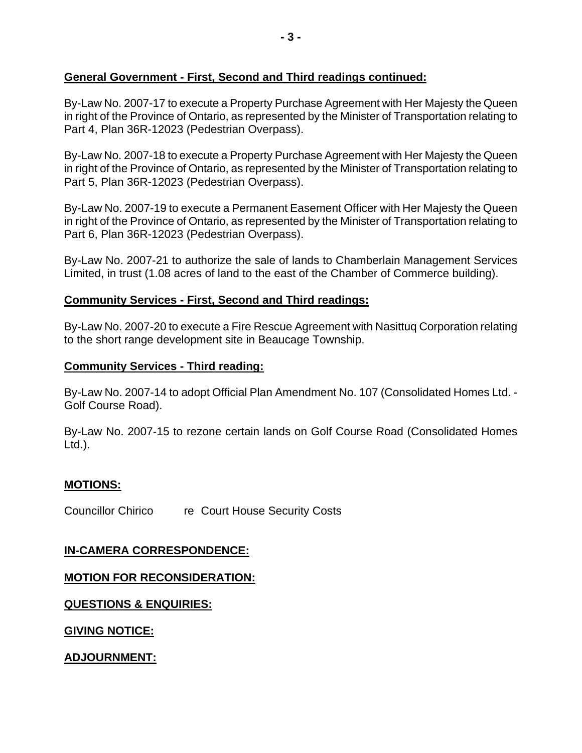# **General Government - First, Second and Third readings continued:**

By-Law No. 2007-17 to execute a Property Purchase Agreement with Her Majesty the Queen in right of the Province of Ontario, as represented by the Minister of Transportation relating to Part 4, Plan 36R-12023 (Pedestrian Overpass).

By-Law No. 2007-18 to execute a Property Purchase Agreement with Her Majesty the Queen in right of the Province of Ontario, as represented by the Minister of Transportation relating to Part 5, Plan 36R-12023 (Pedestrian Overpass).

By-Law No. 2007-19 to execute a Permanent Easement Officer with Her Majesty the Queen in right of the Province of Ontario, as represented by the Minister of Transportation relating to Part 6, Plan 36R-12023 (Pedestrian Overpass).

By-Law No. 2007-21 to authorize the sale of lands to Chamberlain Management Services Limited, in trust (1.08 acres of land to the east of the Chamber of Commerce building).

# **Community Services - First, Second and Third readings:**

By-Law No. 2007-20 to execute a Fire Rescue Agreement with Nasittuq Corporation relating to the short range development site in Beaucage Township.

#### **Community Services - Third reading:**

By-Law No. 2007-14 to adopt Official Plan Amendment No. 107 (Consolidated Homes Ltd. - Golf Course Road).

By-Law No. 2007-15 to rezone certain lands on Golf Course Road (Consolidated Homes Ltd.).

## **MOTIONS:**

Councillor Chirico re Court House Security Costs

# **IN-CAMERA CORRESPONDENCE:**

## **MOTION FOR RECONSIDERATION:**

**QUESTIONS & ENQUIRIES:**

**GIVING NOTICE:**

**ADJOURNMENT:**